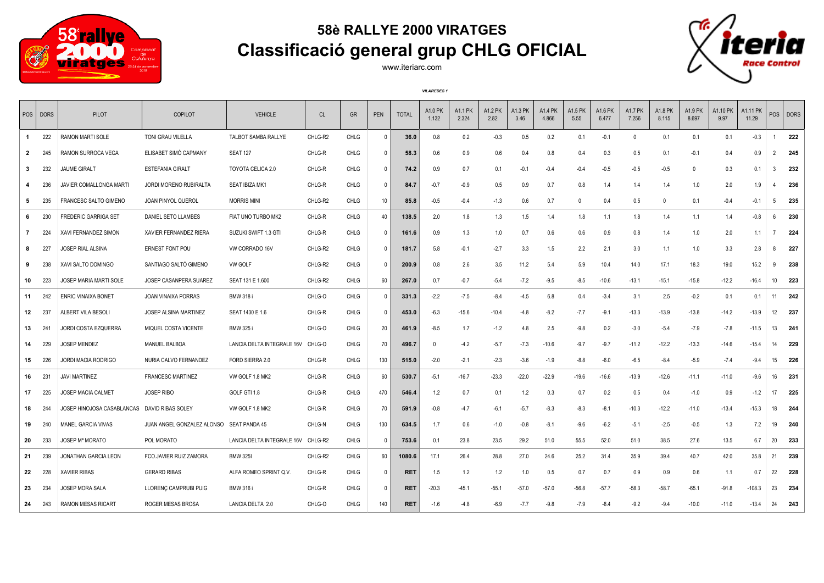

## **58è RALLYE 2000 VIRATGES Classificació general grup CHLG OFICIAL**



www.iteriarc.com

*VILAREDES 1*

| POS   DORS   |              | PILOT                       | COPILOT                                  | <b>VEHICLE</b>             | <b>CL</b> | <b>GR</b>   | PEN          | <b>TOTAL</b> | A1.0 PK<br>1.132 | A1.1 PK<br>2.324 | A1.2 PK<br>2.82 | <b>A1.3 PK</b><br>3.46 | A1.4 PK<br>4.866 | A1.5 PK<br>5.55 | A1.6 PK<br>6.477 | <b>A1.7 PK</b><br>7.256 | A1.8 PK<br>8.115 | A1.9 PK<br>8.697 | A1.10 PK<br>9.97 | A1.11 PK<br>11.29 | POS            | <b>DORS</b> |
|--------------|--------------|-----------------------------|------------------------------------------|----------------------------|-----------|-------------|--------------|--------------|------------------|------------------|-----------------|------------------------|------------------|-----------------|------------------|-------------------------|------------------|------------------|------------------|-------------------|----------------|-------------|
| $\mathbf{1}$ | 222          | RAMON MARTI SOLE            | TONI GRAU VILELLA                        | TALBOT SAMBA RALLYE        | CHLG-R2   | <b>CHLG</b> | $\Omega$     | 36.0         | 0.8              | 0.2              | $-0.3$          | 0.5                    | 0.2              | 0.1             | $-0.1$           | $\Omega$                | 0.1              | 0.1              | 0.1              | $-0.3$            |                | 222         |
| $\mathbf{2}$ | 245          | RAMON SURROCA VEGA          | ELISABET SIMÓ CAPMANY                    | <b>SEAT 127</b>            | CHLG-R    | <b>CHLG</b> | $\Omega$     | 58.3         | 0.6              | 0.9              | 0.6             | 0.4                    | 0.8              | 0.4             | 0.3              | 0.5                     | 0.1              | $-0.1$           | 0.4              | 0.9               | $\overline{2}$ | 245         |
| 3            | 232          | <b>JAUME GIRALT</b>         | <b>ESTEFANIA GIRALT</b>                  | TOYOTA CELICA 2.0          | CHLG-R    | CHLG        | $\Omega$     | 74.2         | 0.9              | 0.7              | 0.1             | $-0.1$                 | $-0.4$           | $-0.4$          | $-0.5$           | $-0.5$                  | $-0.5$           | 0                | 0.3              | 0.1               | 3              | 232         |
| 4            | 236          | JAVIER COMALLONGA MARTI     | <b>JORDI MORENO RUBIRALTA</b>            | <b>SEAT IBIZA MK1</b>      | CHLG-R    | <b>CHLG</b> | $\Omega$     | 84.7         | $-0.7$           | $-0.9$           | 0.5             | 0.9                    | 0.7              | 0.8             | 1.4              | 1.4                     | 1.4              | 1.0              | 2.0              | 1.9               |                | 236         |
| 5            | 235          | FRANCESC SALTO GIMENO       | JOAN PINYOL QUEROL                       | <b>MORRIS MINI</b>         | CHLG-R2   | CHLG        | 10           | 85.8         | $-0.5$           | $-0.4$           | $-1.3$          | 0.6                    | 0.7              | $\mathbf 0$     | 0.4              | 0.5                     | $\mathbf{0}$     | 0.1              | $-0.4$           | $-0.1$            | 5              | 235         |
| 6            | 230          | <b>FREDERIC GARRIGA SET</b> | DANIEL SETO LLAMBES                      | FIAT UNO TURBO MK2         | CHLG-R    | <b>CHLG</b> | 40           | 138.5        | 2.0              | 1.8              | 1.3             | 1.5                    | 1.4              | 1.8             | 1.1              | 1.8                     | 1.4              | 1.1              | 1.4              | $-0.8$            | 6              | 230         |
| $\mathbf{7}$ | 224          | XAVI FERNANDEZ SIMON        | XAVIER FERNANDEZ RIERA                   | SUZUKI SWIFT 1.3 GTI       | CHLG-R    | CHLG        | $\Omega$     | 161.6        | 0.9              | 1.3              | 1.0             | 0.7                    | 0.6              | 0.6             | 0.9              | 0.8                     | 1.4              | 1.0              | 2.0              | 1.1               | $\overline{7}$ | 224         |
| 8            | 227          | JOSEP RIAL ALSINA           | ERNEST FONT POU                          | VW CORRADO 16V             | CHLG-R2   | CHLG        | $\Omega$     | 181.7        | 5.8              | $-0.1$           | $-2.7$          | 3.3                    | 1.5              | 2.2             | 2.1              | 3.0                     | 1.1              | 1.0              | 3.3              | 2.8               | 8              | 227         |
| 9            | 238          | XAVI SALTO DOMINGO          | SANTIAGO SALTÓ GIMENO                    | VW GOLF                    | CHLG-R2   | <b>CHLG</b> | $\Omega$     | 200.9        | 0.8              | 2.6              | 3.5             | 11.2                   | 5.4              | 5.9             | 10.4             | 14.0                    | 17.1             | 18.3             | 19.0             | 15.2              | 9              | 238         |
| 10           | 223          | JOSEP MARIA MARTI SOLE      | JOSEP CASANPERA SUAREZ                   | SEAT 131 E 1.600           | CHLG-R2   | CHLG        | 60           | 267.0        | 0.7              | $-0.7$           | $-5.4$          | $-7.2$                 | $-9.5$           | $-8.5$          | $-10.6$          | $-13.1$                 | $-15.1$          | $-15.8$          | $-12.2$          | -16.4             | 10             | 223         |
| 11           | 242          | <b>ENRIC VINAIXA BONET</b>  | <b>JOAN VINAIXA PORRAS</b>               | <b>BMW 318 i</b>           | CHLG-O    | <b>CHLG</b> | $\mathbf{0}$ | 331.3        | $-2.2$           | $-7.5$           | $-8.4$          | $-4.5$                 | 6.8              | 0.4             | $-3.4$           | 3.1                     | 2.5              | $-0.2$           | 0.1              | 0.1               | 11             | 242         |
| 12           | 237          | ALBERT VILA BESOLI          | JOSEP ALSINA MARTINEZ                    | SEAT 1430 E 1.6            | CHLG-R    | CHLG        | $\mathbf{0}$ | 453.0        | $-6.3$           | $-15.6$          | $-10.4$         | $-4.8$                 | $-8.2$           | $-7.7$          | $-9.1$           | $-13.3$                 | $-13.9$          | $-13.8$          | $-14.2$          | -13.9             | 12             | 237         |
| 13           | $24^{\circ}$ | JORDI COSTA EZQUERRA        | MIQUEL COSTA VICENTE                     | <b>BMW 325 i</b>           | CHLG-O    | <b>CHLG</b> | 20           | 461.9        | $-8.5$           | 1.7              | $-1.2$          | 4.8                    | 2.5              | $-9.8$          | 0.2              | $-3.0$                  | $-5.4$           | $-7.9$           | $-7.8$           | $-11.5$           | 13             | 241         |
| 14           | 229          | <b>JOSEP MENDEZ</b>         | MANUEL BALBOA                            | LANCIA DELTA INTEGRALE 16V | CHLG-O    | <b>CHLG</b> | 70           | 496.7        | - 0              | $-4.2$           | $-5.7$          | $-7.3$                 | $-10.6$          | $-9.7$          | $-9.7$           | $-11.2$                 | $-12.2$          | $-13.3$          | $-14.6$          | -15.4             | 14             | 229         |
| 15           | 226          | JORDI MACIA RODRIGO         | NURIA CALVO FERNANDEZ                    | FORD SIERRA 2.0            | CHLG-R    | <b>CHLG</b> | 130          | 515.0        | $-2.0$           | $-2.1$           | $-2.3$          | $-3.6$                 | $-1.9$           | $-8.8$          | $-6.0$           | $-6.5$                  | $-8.4$           | $-5.9$           | $-7.4$           | $-9.4$            | 15             | 226         |
| 16           | 231          | JAVI MARTINEZ               | <b>FRANCESC MARTINEZ</b>                 | VW GOLF 1.8 MK2            | CHLG-R    | CHLG        | 60           | 530.7        | $-5.1$           | $-16.7$          | $-23.3$         | $-22.0$                | $-22.9$          | $-19.6$         | $-16.6$          | $-13.9$                 | $-12.6$          | $-11.1$          | $-11.0$          | $-9.6$            | 16             | 231         |
| 17           | 225          | <b>JOSEP MACIA CALMET</b>   | <b>JOSEP RIBO</b>                        | GOLF GTI 1.8               | CHLG-R    | CHLG        | 470          | 546.4        | 1.2              | 0.7              | 0.1             | 1.2                    | 0.3              | 0.7             | 0.2              | 0.5                     | 0.4              | $-1.0$           | 0.9              | $-1.2$            | 17             | 225         |
| 18           | 244          | JOSEP HINOJOSA CASABLANCAS  | DAVID RIBAS SOLEY                        | VW GOLF 1.8 MK2            | CHLG-R    | <b>CHLG</b> | 70           | 591.9        | $-0.8$           | $-4.7$           | $-6.1$          | $-5.7$                 | $-8.3$           | $-8.3$          | $-8.1$           | $-10.3$                 | $-12.2$          | $-11.0$          | $-13.4$          | $-15.3$           | 18             | 244         |
| 19           | 240          | <b>MANEL GARCIA VIVAS</b>   | JUAN ANGEL GONZALEZ ALONSO SEAT PANDA 45 |                            | CHLG-N    | CHLG        | 130          | 634.5        | 1.7              | 0.6              | $-1.0$          | $-0.8$                 | $-8.1$           | $-9.6$          | $-6.2$           | $-5.1$                  | $-2.5$           | $-0.5$           | 1.3              | 7.2               | 19             | 240         |
| 20           | 233          | <b>JOSEP Mª MORATO</b>      | POL MORATO                               | LANCIA DELTA INTEGRALE 16V | CHLG-R2   | <b>CHLG</b> | 0            | 753.6        | 0.1              | 23.8             | 23.5            | 29.2                   | 51.0             | 55.5            | 52.0             | 51.0                    | 38.5             | 27.6             | 13.5             | 6.7               | 20             | 233         |
| 21           | 239          | <b>JONATHAN GARCIA LEON</b> | FCO.JAVIER RUIZ ZAMORA                   | <b>BMW 325I</b>            | CHLG-R2   | <b>CHLG</b> | 60           | 1080.6       | 17.1             | 26.4             | 28.8            | 27.0                   | 24.6             | 25.2            | 31.4             | 35.9                    | 39.4             | 40.7             | 42.0             | 35.8              | 21             | 239         |
| 22           | 228          | <b>XAVIER RIBAS</b>         | <b>GERARD RIBAS</b>                      | ALFA ROMEO SPRINT Q.V.     | CHLG-R    | CHLG        | 0            | <b>RET</b>   | 1.5              | 1.2              | 1.2             | 1.0                    | 0.5              | 0.7             | 0.7              | 0.9                     | 0.9              | 0.6              | 1.1              | 0.7               | 22             | 228         |
| 23           | 234          | <b>JOSEP MORA SALA</b>      | LLORENC CAMPRUBI PUIG                    | <b>BMW 316 i</b>           | CHLG-R    | <b>CHLG</b> | $\Omega$     | <b>RET</b>   | $-20.3$          | $-45.1$          | $-55.1$         | $-57.0$                | $-57.0$          | $-56.8$         | $-57.7$          | $-58.3$                 | $-58.7$          | $-65.1$          | $-91.8$          | $-108.3$          | 23             | 234         |
| 24           | 243          | <b>RAMON MESAS RICART</b>   | ROGER MESAS BROSA                        | LANCIA DELTA 2.0           | CHLG-O    | <b>CHLG</b> | 140          | <b>RET</b>   | $-1.6$           | $-4.8$           | $-6.9$          | $-7.7$                 | $-9.8$           | $-7.9$          | $-8.4$           | $-9.2$                  | $-9.4$           | $-10.0$          | $-11.0$          | $-13.4$           | 24             | 243         |
|              |              |                             |                                          |                            |           |             |              |              |                  |                  |                 |                        |                  |                 |                  |                         |                  |                  |                  |                   |                |             |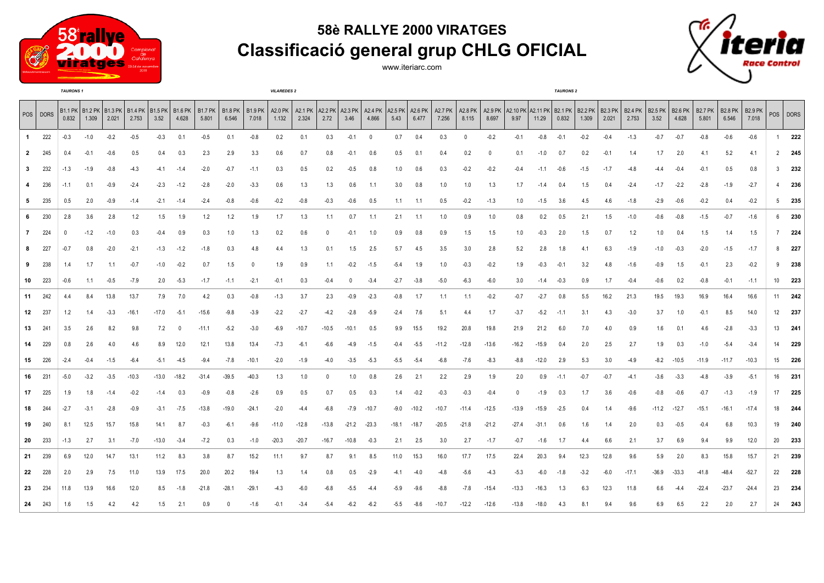

## **58è RALLYE 2000 VIRATGES Classificació general grup CHLG OFICIAL**





|                |          | <b>TAURONS 1</b> |        |                                                                    |         |         |         |                            |         |                         | <b>VILAREDES 2</b> |         |          |                                     |          |         |                                      |                  |                            |          |                                                   | <b>TAURONS 2</b> |        |        |        |                         |                        |                         |                         |                         |                         |                 |               |
|----------------|----------|------------------|--------|--------------------------------------------------------------------|---------|---------|---------|----------------------------|---------|-------------------------|--------------------|---------|----------|-------------------------------------|----------|---------|--------------------------------------|------------------|----------------------------|----------|---------------------------------------------------|------------------|--------|--------|--------|-------------------------|------------------------|-------------------------|-------------------------|-------------------------|-------------------------|-----------------|---------------|
|                | POS DORS | 0.832            | 1.309  | B1.1 PK   B1.2 PK   B1.3 PK   B1.4 PK   B1.5 PK   B1.6 PK<br>2.021 | 2.753   | 3.52    | 4.628   | B1.7 PK   B1.8 PK<br>5.801 | 6.546   | <b>B1.9 PK</b><br>7.018 | A2.0 PK<br>1.132   | 2.324   | 2.72     | A2.1 PK   A2.2 PK   A2.3 PK<br>3.46 | 4.866    | 5.43    | A2.4 PK   A2.5 PK   A2.6 PK<br>6.477 | A2.7 PK<br>7.256 | A2.8 PK   A2.9 PK<br>8.115 | 8.697    | A2.10 PK A2.11 PK B2.1 PK B2.2 PK B2.3 PK<br>9.97 | 11.29            | 0.832  | 1.309  | 2.021  | <b>B2.4 PK</b><br>2.753 | <b>B2.5 PK</b><br>3.52 | <b>B2.6 PK</b><br>4.628 | <b>B2.7 PK</b><br>5.801 | <b>B2.8 PK</b><br>6.546 | <b>B2.9 PK</b><br>7.018 |                 | POS DORS      |
| $\mathbf{1}$   | 222      | $-0.3$           | $-1.0$ | $-0.2$                                                             | $-0.5$  | $-0.3$  | 0.1     | $-0.5$                     | 0.1     | $-0.8$                  | 0.2                | 0.1     | 0.3      | $-0.1$                              | $\Omega$ | 0.7     | 0.4                                  | 0.3              | 0                          | $-0.2$   | $-0.1$                                            | $-0.8$           | $-0.1$ | $-0.2$ | $-0.4$ | $-1.3$                  | $-0.7$                 | $-0.7$                  | $-0.8$                  | $-0.6$                  | $-0.6$                  | 1               | 222           |
| $\overline{2}$ | 245      | 0.4              | $-0.1$ | $-0.6$                                                             | 0.5     | 0.4     | 0.3     | 2.3                        | 2.9     | 3.3                     | 0.6                | 0.7     | 0.8      | $-0.1$                              | 0.6      | 0.5     | 0.1                                  | 0.4              | 0.2                        | $\Omega$ | 0.1                                               | $-1.0$           | 0.7    | 0.2    | $-0.1$ | 1.4                     | 1.7                    | 2.0                     | 4.1                     | 5.2                     | -4.1                    |                 | $2 \quad 245$ |
| 3              | 232      | $-1.3$           | $-1.9$ | $-0.8$                                                             | $-4.3$  | -4.1    | $-1.4$  | $-2.0$                     | $-0.7$  | $-1.1$                  | 0.3                | 0.5     | 0.2      | $-0.5$                              | 0.8      | 1.0     | 0.6                                  | 0.3              | $-0.2$                     | $-0.2$   | $-0.4$                                            | $-1.1$           | $-0.6$ | $-1.5$ | $-1.7$ | $-4.8$                  | -4.4                   | $-0.4$                  | $-0.1$                  | 0.5                     | 0.8                     | 3               | 232           |
| 4              | 236      | $-1.1$           | 0.1    | $-0.9$                                                             | $-2.4$  | $-2.3$  | $-1.2$  | $-2.8$                     | $-2.0$  | $-3.3$                  | 0.6                | 1.3     | 1.3      | 0.6                                 | 1.1      | 3.0     | 0.8                                  | 1.0              | 1.0                        | 1.3      | 1.7                                               | $-1.4$           | 0.4    | 1.5    | 0.4    | $-2.4$                  | $-1.7$                 | $-2.2$                  | $-2.8$                  | $-1.9$                  | $-2.7$                  | $\overline{4}$  | 236           |
| 5              | 235      | 0.5              | 2.0    | $-0.9$                                                             | $-1.4$  | $-2.1$  | $-1.4$  | $-2.4$                     | $-0.8$  | $-0.6$                  | $-0.2$             | $-0.8$  | $-0.3$   | $-0.6$                              | 0.5      | 1.1     | 1.1                                  | 0.5              | $-0.2$                     | $-1.3$   | 1.0                                               | $-1.5$           | -3.6   | 4.5    | 4.6    | $-1.8$                  | $-2.9$                 | $-0.6$                  | $-0.2$                  | 0.4                     | $-0.2$                  |                 | $5$ 235       |
| 6              | 230      | 2.8              | 3.6    | 2.8                                                                | 1.2     | 1.5     | 1.9     | 1.2                        | 1.2     | 1.9                     | 1.7                | 1.3     | 1.1      | 0.7                                 | 1.1      | 2.1     | 1.1                                  | 1.0              | 0.9                        | 1.0      | 0.8                                               | 0.2              | 0.5    | 2.1    | 1.5    | $-1.0$                  | $-0.6$                 | $-0.8$                  | $-1.5$                  | $-0.7$                  | $-1.6$                  |                 | 6 230         |
| $\overline{7}$ | 224      |                  | $-1.2$ | $-1.0$                                                             | 0.3     | $-0.4$  | 0.9     | 0.3                        | 1.0     | 1.3                     | 0.2                | 0.6     | $\Omega$ | $-0.1$                              | 1.0      | 0.9     | 0.8                                  | 0.9              | 1.5                        | 1.5      | 1.0                                               | $-0.3$           | 2.0    | 1.5    | 0.7    | 1.2                     | 1.0                    | 0.4                     | 1.5                     | 1.4                     | 1.5                     | 7               | 224           |
| 8              | 227      | $-0.7$           | 0.8    | $-2.0$                                                             | $-2.1$  | $-1.3$  | $-1.2$  | $-1.8$                     | 0.3     | 4.8                     | 4.4                | 1.3     | 0.1      | 1.5                                 | 2.5      | 5.7     | 4.5                                  | 3.5              | 3.0                        | 2.8      | 5.2                                               | 2.8              | 1.8    | 4.1    | 6.3    | $-1.9$                  | $-1.0$                 | $-0.3$                  | $-2.0$                  | $-1.5$                  | $-1.7$                  | 8               | 227           |
| 9              | 238      | 1.4              | 1.7    | 1.1                                                                | $-0.7$  | $-1.0$  | $-0.2$  | 0.7                        | 1.5     | $\mathbf{0}$            | 1.9                | 0.9     | 1.1      | $-0.2$                              | $-1.5$   | $-5.4$  | 1.9                                  | 1.0              | $-0.3$                     | $-0.2$   | 1.9                                               | $-0.3$           | $-0.1$ | 3.2    | 4.8    | $-1.6$                  | $-0.9$                 | 1.5                     | $-0.1$                  | 2.3                     | $-0.2$                  | 9               | 238           |
| 10             | 223      | $-0.6$           | 1.1    | $-0.5$                                                             | $-7.9$  | 2.0     | $-5.3$  | $-1.7$                     | $-1.1$  | $-2.1$                  | $-0.1$             | 0.3     | $-0.4$   | 0                                   | $-3.4$   | $-2.7$  | $-3.8$                               | $-5.0$           | $-6.3$                     | $-6.0$   | 3.0                                               | $-1.4$           | $-0.3$ | 0.9    | 1.7    | $-0.4$                  | $-0.6$                 | 0.2                     | $-0.8$                  | $-0.1$                  | $-1.1$                  | 10 <sup>°</sup> | 223           |
| 11             | 242      | 4.4              | 8.4    | 13.8                                                               | 13.7    | 7.9     | 7.0     | 4.2                        | 0.3     | $-0.8$                  | $-1.3$             | 3.7     | 2.3      | $-0.9$                              | $-2.3$   | $-0.8$  | 1.7                                  | 1.1              | 1.1                        | $-0.2$   | $-0.7$                                            | $-2.7$           | 0.8    | 5.5    | 16.2   | 21.3                    | 19.5                   | 19.3                    | 16.9                    | 16.4                    | 16.6                    |                 | 11 242        |
| 12             | 237      | 1.2              | 1.4    | $-3.3$                                                             | $-16.1$ | -17.0   | $-5.1$  | $-15.6$                    | $-9.8$  | $-3.9$                  | $-2.2$             | $-2.7$  | $-4.2$   | $-2.8$                              | $-5.9$   | $-2.4$  | 7.6                                  | 5.1              | 4.4                        | 1.7      | $-3.7$                                            | $-5.2$           | $-1.1$ | 3.1    | 4.3    | $-3.0$                  | 3.7                    | 1.0                     | $-0.1$                  | 8.5                     | 14.0                    | 12              | 237           |
| 13             | 241      | 3.5              | 2.6    | 8.2                                                                | 9.8     | 7.2     | -0      | $-11.1$                    | $-5.2$  | $-3.0$                  | $-6.9$             | $-10.7$ | $-10.5$  | $-10.1$                             | 0.5      | 9.9     | 15.5                                 | 19.2             | 20.8                       | 19.8     | 21.9                                              | 21.2             | 6.0    | 7.0    | 4.0    | 0.9                     | 1.6                    | 0.1                     | 4.6                     | $-2.8$                  | $-3.3$                  | 13              | 241           |
| 14             | 229      | 0.8              | 2.6    | 4.0                                                                | 4.6     | 8.9     | 12.0    | 12.1                       | 13.8    | 13.4                    | $-7.3$             | $-6.1$  | -6.6     | -4.9                                | $-1.5$   | $-0.4$  | $-5.5$                               | $-11.2$          | $-12.8$                    | $-13.6$  | $-16.2$                                           | $-15.9$          | 0.4    | 2.0    | 2.5    | 2.7                     | 1.9                    | 0.3                     | $-1.0$                  | $-5.4$                  | $-3.4$                  | 14              | 229           |
| 15             | 226      | $-2.4$           | $-0.4$ | $-1.5$                                                             | $-6.4$  | $-5.1$  | $-4.5$  | $-9.4$                     | $-7.8$  | $-10.1$                 | $-2.0$             | $-1.9$  | $-4.0$   | $-3.5$                              | $-5.3$   | $-5.5$  | $-5.4$                               | $-6.8$           | $-7.6$                     | $-8.3$   | $-8.8$                                            | $-12.0$          | 2.9    | 5.3    | 3.0    | $-4.9$                  | $-8.2$                 | $-10.5$                 | $-11.9$                 | $-11.7$                 | $-10.3$                 | 15              | 226           |
| 16             | 231      | $-5.0$           | $-3.2$ | $-3.5$                                                             | $-10.3$ | $-13.0$ | $-18.2$ | $-31.4$                    | $-39.5$ | $-40.3$                 | 1.3                | 1.0     | 0        | 1.0                                 | 0.8      | 2.6     | 2.1                                  | 2.2              | 2.9                        | 1.9      | 2.0                                               | 0.9              | $-1.1$ | $-0.7$ | $-0.7$ | $-4.1$                  | $-3.6$                 | $-3.3$                  | $-4.8$                  | $-3.9$                  | $-5.1$                  | 16              | 231           |
| 17             | 225      | 1.9              | 1.8    | $-1.4$                                                             | $-0.2$  | $-1.4$  | 0.3     | $-0.9$                     | $-0.8$  | $-2.6$                  | 0.9                | 0.5     | 0.7      | 0.5                                 | 0.3      | 1.4     | $-0.2$                               | $-0.3$           | $-0.3$                     | $-0.4$   | $\Omega$                                          | $-1.9$           | 0.3    | 1.7    | 3.6    | $-0.6$                  | $-0.8$                 | $-0.6$                  | $-0.7$                  | $-1.3$                  | $-1.9$                  | 17              | 225           |
| 18             | 244      | $-2.7$           | $-3.1$ | $-2.8$                                                             | $-0.9$  | $-3.1$  | $-7.5$  | $-13.8$                    | $-19.0$ | $-24.1$                 | $-2.0$             | $-4.4$  | $-6.8$   | $-7.9$                              | $-10.7$  | $-9.0$  | $-10.2$                              | $-10.7$          | $-11.4$                    | $-12.5$  | $-13.9$                                           | $-15.9$          | $-2.5$ | 0.4    | 1.4    | $-9.6$                  | $-11.2$                | $-12.7$                 | $-15.1$                 | $-16.1$                 | $-17.4$                 |                 | 18 244        |
| 19             | 240      | 8.1              | 12.5   | 15.7                                                               | 15.8    | 14.1    | 8.7     | $-0.3$                     | $-6.1$  | $-9.6$                  | $-11.0$            | $-12.8$ | $-13.8$  | $-21.2$                             | $-23.3$  | $-18.1$ | $-18.7$                              | $-20.5$          | $-21.8$                    | $-21.2$  | $-27.4$                                           | $-31.1$          | 0.6    | 1.6    | 1.4    | 2.0                     | 0.3                    | $-0.5$                  | $-0.4$                  | 6.8                     | 10.3                    | 19              | 240           |
| 20             | 233      | $-1.3$           | 2.7    | 3.1                                                                | $-7.0$  | $-13.0$ | $-3.4$  | $-7.2$                     | 0.3     | $-1.0$                  | $-20.3$            | $-20.7$ | $-16.7$  | $-10.8$                             | $-0.3$   | 2.1     | 2.5                                  | 3.0              | 2.7                        | $-1.7$   | $-0.7$                                            | $-1.6$           | 1.7    | 4.4    | 6.6    | 2.1                     | 3.7                    | 6.9                     | 9.4                     | 9.9                     | 12.0                    | 20              | 233           |
| 21             | 239      | 6.9              | 12.0   | 14.7                                                               | 13.1    | 11.2    | 8.3     | 3.8                        | 8.7     | 15.2                    | 11.1               | 9.7     | 8.7      | 9.1                                 | 8.5      | 11.0    | 15.3                                 | 16.0             | 17.7                       | 17.5     | 22.4                                              | 20.3             | 9.4    | 12.3   | 12.8   | 9.6                     | 5.9                    | 2.0                     | 8.3                     | 15.8                    | 15.7                    | 21              | 239           |
| 22             | 228      | 2.0              | 2.9    | 7.5                                                                | 11.0    | 13.9    | 17.5    | 20.0                       | 20.2    | 19.4                    | 1.3                | 1.4     | 0.8      | 0.5                                 | $-2.9$   | $-4.1$  | -4.0                                 | $-4.8$           | $-5.6$                     | $-4.3$   | $-5.3$                                            | $-6.0$           | $-1.8$ | $-3.2$ | $-6.0$ | $-17.1$                 | $-36.9$                | $-33.3$                 | $-41.8$                 | $-48.4$                 | $-52.7$                 | 22              | 228           |
| 23             | 234      | 11.8             | 13.9   | 16.6                                                               | 12.0    | 8.5     | $-1.8$  | $-21.8$                    | $-28.1$ | $-29.1$                 | $-4.3$             | $-6.0$  | $-6.8$   | $-5.5$                              | $-4.4$   | $-5.9$  | $-9.6$                               | $-8.8$           | $-7.8$                     | $-15.4$  | $-13.3$                                           | $-16.3$          | 1.3    | 6.3    | 12.3   | 11.8                    | 6.6                    | $-4.4$                  | $-22.4$                 | $-23.7$                 | $-24.4$                 | 23              | 234           |
| 24             | 243      | 1.6              | 1.5    | 4.2                                                                | 4.2     | 1.5     | 2.1     |                            |         | $-1.6$                  | $-0.1$             | $-3.4$  | $-5.4$   | $-6.2$                              | $-6.2$   | $-5.5$  | $-8.6$                               | $-10.7$          | $-12.2$                    | $-12.6$  | $-13.8$                                           | -18.0            | 4.3    | 8.1    | 9.4    | 9.6                     | 6.9                    | 6.5                     | 2.2                     | 2.0                     | 2.7                     |                 | 24 243        |